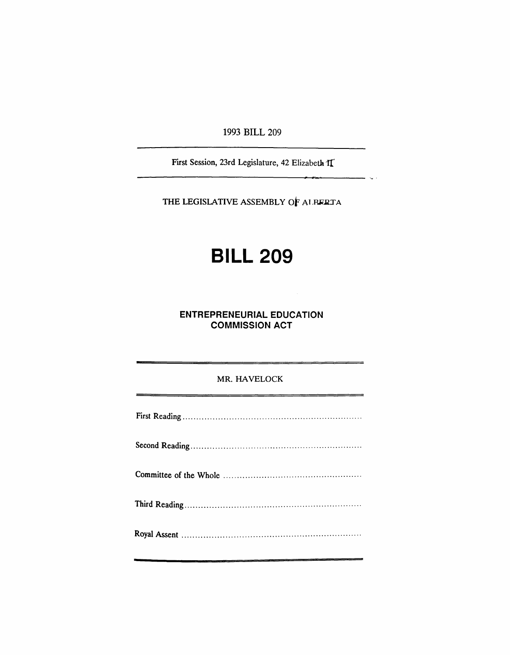1993 BILL 209

First Session, 23rd Legislature, 42 Elizabeth II

THE LEGISLATIVE ASSEMBLY OF ALBERTA

## **BILL 209**

**ENTREPRENEURIAL EDUCATION COMMISSION ACT** 

## MR. HAVELOCK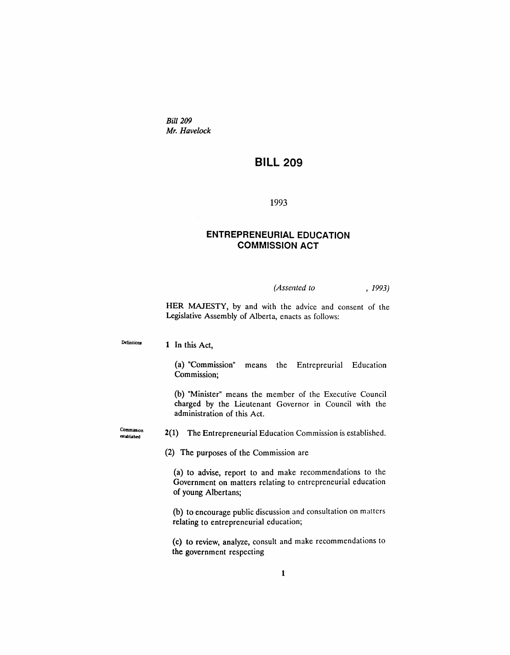*Bill 209 Mr. Havelock*

## **BILL 209**

1993

## **ENTREPRENEURIAL EDUCATION COMMISSION ACT**

*(Assented to* , 1993)

HER MAJESTY, by and with the advice and consent of the Legislative Assembly of Alberta, enacts as follows:

Definitions 1 In this Act,

> (a) "Commission" means the Entrepreurial Education Commission;

> (b) "Minister" means the member of the Executive Council charged by the Lieutenant Governor in Council with the administration of this Act.

Commission established

2(1) The Entrepreneurial Education Commission is established.

(2) The purposes of the Commission are

(a) to advise, report to and make recommendations to the Government on matters relating to entrepreneurial education of young Albertans;

(b) to encourage public discussion and consultation on matters relating to entrepreneurial education;

(c) to review, analyze, consult and make recommendations to the government respecting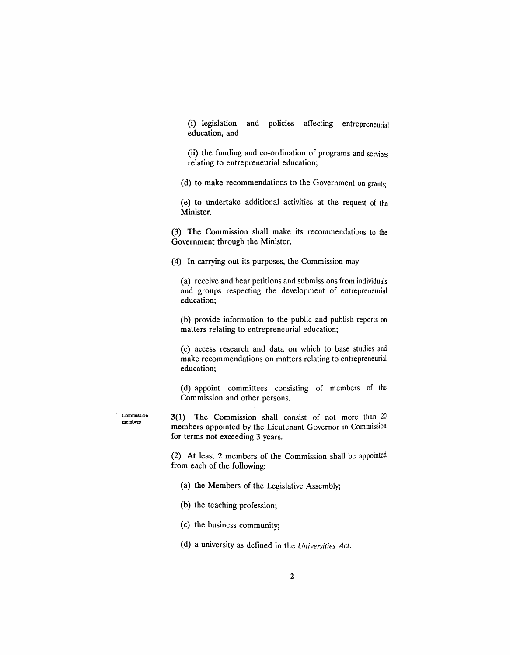(i) legislation and policies affecting entrepreneurial education, and

(ii) the funding and co-ordination of programs and services relating to entrepreneurial education;

(d) to make recommendations to the Government on grants;

(e) to undertake additional activities at the request of the Minister.

(3) The Commission shall make its recommendations to the Government through the Minister.

(4) In carrying out its purposes, the Commission may

(a) receive and hear petitions and submissions from individuals and groups respecting the development of entrepreneurial education;

(b) provide information to the public and publish reports on matters relating to entrepreneurial education;

(c) access research and data on which to base studies and make recommendations on matters relating to entrepreneurial education;

(d) appoint committees consisting of members of the Commission and other persons.

Commission members

3(1) The Commission shall consist of not more than 20 members appointed by the Lieutenant Governor in Commission for terms not exceeding 3 years.

(2) At least 2 members of the Commission shall be appointed from each of the following:

(a) the Members of the Legislative Assembly;

(b) the teaching profession;

(c) the business community;

(d) a university as defined in the *Universities Act.*